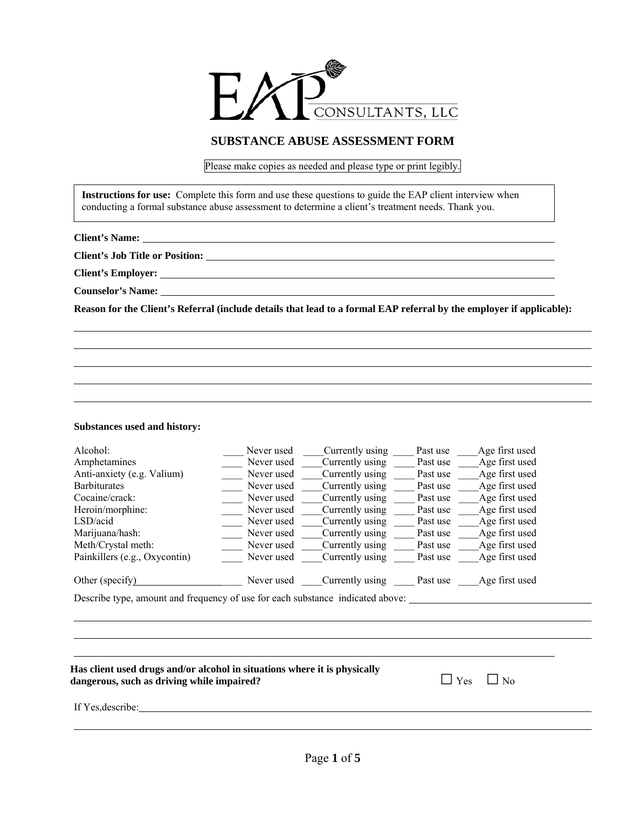

## **SUBSTANCE ABUSE ASSESSMENT FORM**

Please make copies as needed and please type or print legibly.

**Instructions for use:** Complete this form and use these questions to guide the EAP client interview when conducting a formal substance abuse assessment to determine a client's treatment needs. Thank you.

**Client's Name:** 

**Client's Job Title or Position:** 

**Client's Employer:** 

**Counselor's Name:** 

 $\overline{a}$ l

l

**Reason for the Client's Referral (include details that lead to a formal EAP referral by the employer if applicable):**

## **Substances used and history:**

| Alcohol:                                                                   | Never used                         | Currently using | Past use | Age first used |  |
|----------------------------------------------------------------------------|------------------------------------|-----------------|----------|----------------|--|
| Amphetamines                                                               | Never used                         | Currently using | Past use | Age first used |  |
| Anti-anxiety (e.g. Valium)                                                 | Never used                         | Currently using | Past use | Age first used |  |
| <b>Barbiturates</b>                                                        | Never used                         | Currently using | Past use | Age first used |  |
| Cocaine/crack:                                                             | Never used                         | Currently using | Past use | Age first used |  |
| Heroin/morphine:                                                           | Never used                         | Currently using | Past use | Age first used |  |
| LSD/acid                                                                   | Never used                         | Currently using | Past use | Age first used |  |
| Marijuana/hash:                                                            | Never used                         | Currently using | Past use | Age first used |  |
| Meth/Crystal meth:                                                         | Never used                         | Currently using | Past use | Age first used |  |
| Painkillers (e.g., Oxycontin)                                              | Never used                         | Currently using | Past use | Age first used |  |
| Other (specify)                                                            | Never used                         | Currently using | Past use | Age first used |  |
| $\sim$<br>$\mathbf{r}$ $\mathbf{r}$ $\mathbf{r}$ $\mathbf{r}$ $\mathbf{r}$ | $\sim$ $\sim$ $\sim$ $\sim$ $\sim$ |                 |          |                |  |

Describe type, amount and frequency of use for each substance indicated above:

| Has client used drugs and/or alcohol in situations where it is physically<br>dangerous, such as driving while impaired? | $\Box$ Yes $\Box$ No |  |
|-------------------------------------------------------------------------------------------------------------------------|----------------------|--|
| If Yes, describe:                                                                                                       |                      |  |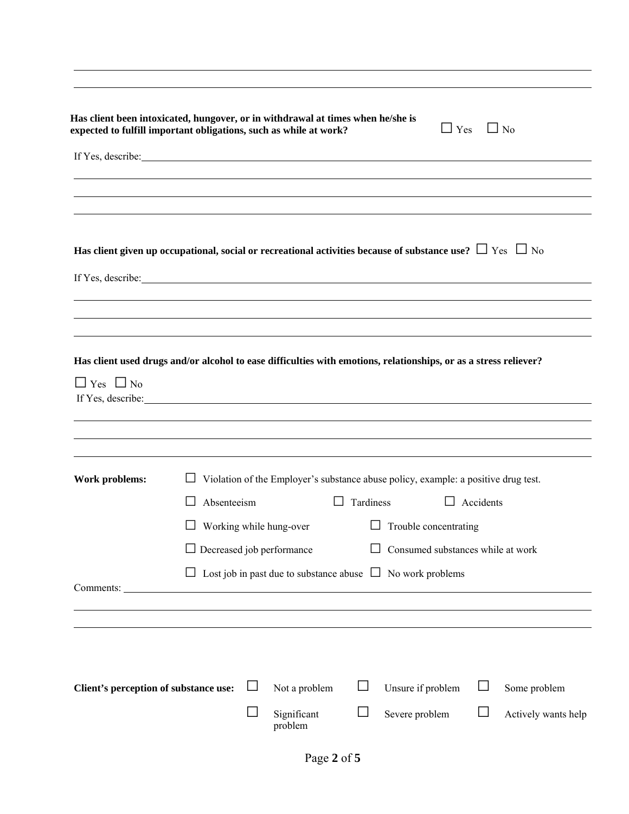| Has client been intoxicated, hungover, or in withdrawal at times when he/she is<br>expected to fulfill important obligations, such as while at work?                                                                                 |                                |        |                                  |        |                                                                                           | $\Box$ Yes       | $\Box$ No           |
|--------------------------------------------------------------------------------------------------------------------------------------------------------------------------------------------------------------------------------------|--------------------------------|--------|----------------------------------|--------|-------------------------------------------------------------------------------------------|------------------|---------------------|
| If Yes, describe: <u>contained</u> and the set of the set of the set of the set of the set of the set of the set of the set of the set of the set of the set of the set of the set of the set of the set of the set of the set of t  |                                |        |                                  |        |                                                                                           |                  |                     |
|                                                                                                                                                                                                                                      |                                |        |                                  |        |                                                                                           |                  |                     |
|                                                                                                                                                                                                                                      |                                |        |                                  |        |                                                                                           |                  |                     |
| Has client given up occupational, social or recreational activities because of substance use? $\Box$ Yes $\Box$ No                                                                                                                   |                                |        |                                  |        |                                                                                           |                  |                     |
| If Yes, describe: <u>the contract of the contract of the contract of the contract of the contract of the contract of the contract of the contract of the contract of the contract of the contract of the contract of the contrac</u> |                                |        |                                  |        |                                                                                           |                  |                     |
|                                                                                                                                                                                                                                      |                                |        |                                  |        |                                                                                           |                  |                     |
|                                                                                                                                                                                                                                      |                                |        |                                  |        |                                                                                           |                  |                     |
| Has client used drugs and/or alcohol to ease difficulties with emotions, relationships, or as a stress reliever?<br>$\Box$ Yes $\Box$ No                                                                                             |                                |        |                                  |        |                                                                                           |                  |                     |
|                                                                                                                                                                                                                                      |                                |        |                                  |        |                                                                                           |                  |                     |
|                                                                                                                                                                                                                                      |                                |        |                                  |        |                                                                                           |                  |                     |
| Work problems:                                                                                                                                                                                                                       |                                |        |                                  |        | $\Box$ Violation of the Employer's substance abuse policy, example: a positive drug test. |                  |                     |
|                                                                                                                                                                                                                                      | Absenteeism<br>$\perp$         |        |                                  |        | $\Box$ Tardiness                                                                          | $\Box$ Accidents |                     |
|                                                                                                                                                                                                                                      | $\Box$ Working while hung-over |        |                                  |        | $\Box$ Trouble concentrating                                                              |                  |                     |
|                                                                                                                                                                                                                                      |                                |        | $\Box$ Decreased job performance |        | $\Box$ Consumed substances while at work                                                  |                  |                     |
|                                                                                                                                                                                                                                      | $\Box$                         |        |                                  |        | Lost job in past due to substance abuse $\Box$ No work problems                           |                  |                     |
|                                                                                                                                                                                                                                      |                                |        |                                  |        |                                                                                           |                  |                     |
|                                                                                                                                                                                                                                      |                                |        |                                  |        |                                                                                           |                  |                     |
|                                                                                                                                                                                                                                      |                                |        |                                  |        |                                                                                           |                  |                     |
| Client's perception of substance use:                                                                                                                                                                                                |                                |        | Not a problem                    | $\Box$ | Unsure if problem                                                                         |                  | Some problem        |
|                                                                                                                                                                                                                                      |                                | $\Box$ | Significant<br>problem           | $\Box$ | Severe problem                                                                            |                  | Actively wants help |

l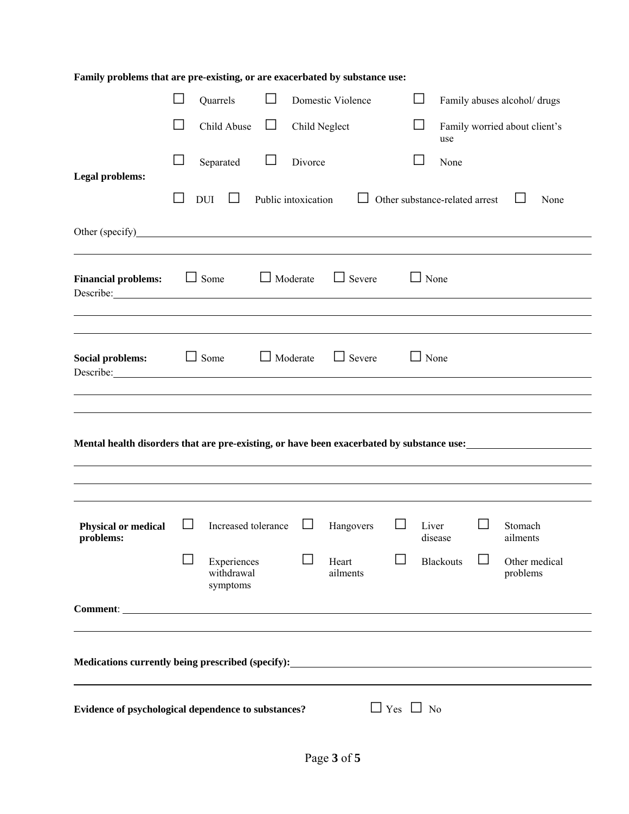| Family problems that are pre-existing, or are exacerbated by substance use:                                                                                                                                                                                 |   |                                       |        |                     |                   |            |                  |                                |                               |  |
|-------------------------------------------------------------------------------------------------------------------------------------------------------------------------------------------------------------------------------------------------------------|---|---------------------------------------|--------|---------------------|-------------------|------------|------------------|--------------------------------|-------------------------------|--|
|                                                                                                                                                                                                                                                             |   | Quarrels                              | $\Box$ |                     | Domestic Violence |            | ⊔                |                                | Family abuses alcohol/ drugs  |  |
|                                                                                                                                                                                                                                                             |   | Child Abuse                           | ⊔      | Child Neglect       |                   |            | $\Box$<br>use    |                                | Family worried about client's |  |
| <b>Legal problems:</b>                                                                                                                                                                                                                                      |   | Separated                             | $\Box$ | Divorce             |                   |            |                  | None                           |                               |  |
|                                                                                                                                                                                                                                                             |   | <b>DUI</b><br>$\perp$                 |        | Public intoxication |                   |            |                  | Other substance-related arrest | None                          |  |
| Other (specify)<br><u>Other (specify)</u>                                                                                                                                                                                                                   |   |                                       |        |                     |                   |            |                  |                                |                               |  |
|                                                                                                                                                                                                                                                             |   |                                       |        |                     |                   |            |                  |                                |                               |  |
| <b>Financial problems:</b><br>Describe: 2000 and 2000 and 2000 and 2000 and 2000 and 2000 and 2000 and 2000 and 2000 and 2000 and 2000 and 2000 and 2000 and 2000 and 2000 and 2000 and 2000 and 2000 and 2000 and 2000 and 2000 and 2000 and 2000 and 2000 |   | $\Box$ Some                           |        | $\Box$ Moderate     | $\Box$ Severe     |            | $\Box$ None      |                                |                               |  |
|                                                                                                                                                                                                                                                             |   |                                       |        |                     |                   |            |                  |                                |                               |  |
| <b>Social problems:</b><br>Describe:                                                                                                                                                                                                                        |   | $\Box$ Some                           |        | $\Box$ Moderate     | $\Box$ Severe     |            | $\Box$ None      |                                |                               |  |
|                                                                                                                                                                                                                                                             |   |                                       |        |                     |                   |            |                  |                                |                               |  |
|                                                                                                                                                                                                                                                             |   |                                       |        |                     |                   |            |                  |                                |                               |  |
| Mental health disorders that are pre-existing, or have been exacerbated by substance use:<br><u>mate</u> of the state of the state of the state of the state of the state of the state of the state of the state of the state of the                        |   |                                       |        |                     |                   |            |                  |                                |                               |  |
|                                                                                                                                                                                                                                                             |   |                                       |        |                     |                   |            |                  |                                |                               |  |
|                                                                                                                                                                                                                                                             |   |                                       |        |                     |                   |            |                  |                                |                               |  |
| <b>Physical or medical</b><br>problems:                                                                                                                                                                                                                     | ப | Increased tolerance                   |        | ⊔                   | Hangovers         |            | Liver<br>disease |                                | Stomach<br>ailments           |  |
|                                                                                                                                                                                                                                                             |   | Experiences<br>withdrawal<br>symptoms |        |                     | Heart<br>ailments |            | <b>Blackouts</b> |                                | Other medical<br>problems     |  |
|                                                                                                                                                                                                                                                             |   |                                       |        |                     |                   |            |                  |                                |                               |  |
|                                                                                                                                                                                                                                                             |   |                                       |        |                     |                   |            |                  |                                |                               |  |
| Medications currently being prescribed (specify):                                                                                                                                                                                                           |   |                                       |        |                     |                   |            |                  |                                |                               |  |
|                                                                                                                                                                                                                                                             |   |                                       |        |                     |                   |            |                  |                                |                               |  |
| Evidence of psychological dependence to substances?                                                                                                                                                                                                         |   |                                       |        |                     |                   | $\Box$ Yes | $\Box$ No        |                                |                               |  |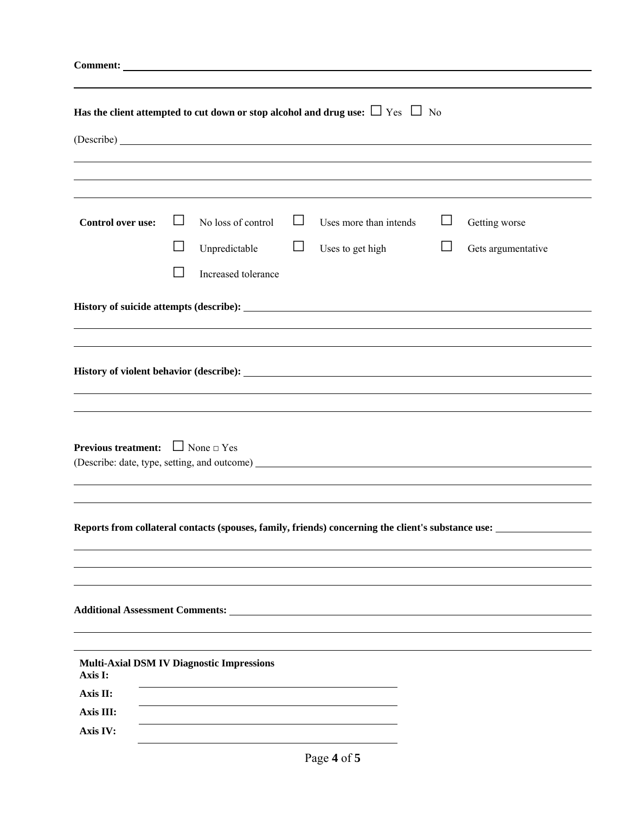| Has the client attempted to cut down or stop alcohol and drug use: $\Box$ Yes $\Box$ No |  |                                     |             |                                                                                  |        |                                                                                                    |  |  |
|-----------------------------------------------------------------------------------------|--|-------------------------------------|-------------|----------------------------------------------------------------------------------|--------|----------------------------------------------------------------------------------------------------|--|--|
|                                                                                         |  |                                     |             | ,我们也不会有什么。""我们的人,我们也不会有什么?""我们的人,我们也不会有什么?""我们的人,我们也不会有什么?""我们的人,我们也不会有什么?""我们的人 |        |                                                                                                    |  |  |
| <b>Control over use:</b>                                                                |  | No loss of control<br>Unpredictable | Ц<br>$\Box$ | Uses more than intends<br>Uses to get high                                       | $\Box$ | Getting worse<br>Gets argumentative                                                                |  |  |
|                                                                                         |  | Increased tolerance                 |             |                                                                                  |        |                                                                                                    |  |  |
|                                                                                         |  |                                     |             |                                                                                  |        |                                                                                                    |  |  |
| <b>Previous treatment:</b> $\Box$ None $\Box$ Yes                                       |  |                                     |             |                                                                                  |        |                                                                                                    |  |  |
|                                                                                         |  |                                     |             |                                                                                  |        |                                                                                                    |  |  |
|                                                                                         |  |                                     |             |                                                                                  |        | Reports from collateral contacts (spouses, family, friends) concerning the client's substance use: |  |  |
|                                                                                         |  |                                     |             |                                                                                  |        |                                                                                                    |  |  |
|                                                                                         |  |                                     |             |                                                                                  |        |                                                                                                    |  |  |
|                                                                                         |  |                                     |             |                                                                                  |        |                                                                                                    |  |  |
| <b>Multi-Axial DSM IV Diagnostic Impressions</b><br>Axis I:                             |  |                                     |             |                                                                                  |        |                                                                                                    |  |  |
| Axis II:                                                                                |  |                                     |             |                                                                                  |        |                                                                                                    |  |  |
| Axis III:                                                                               |  |                                     |             |                                                                                  |        |                                                                                                    |  |  |
| Axis IV:                                                                                |  |                                     |             |                                                                                  |        |                                                                                                    |  |  |